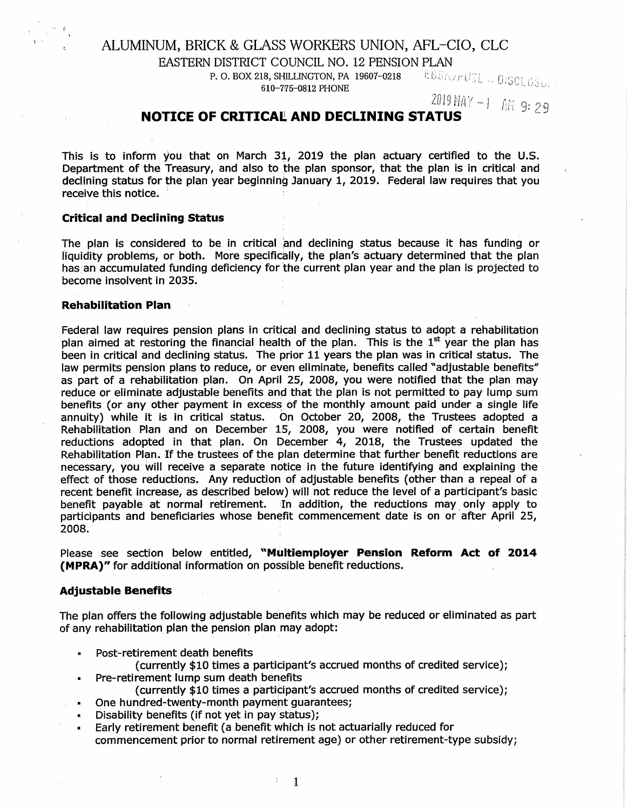# ALUMINUM, BRICK & GLASS WORKERS UNION, AFL-CIO, CLC

EASTERN DISTRICT COUNCIL NO. 12 PENSION PLAN

P. 0. BOX 218, SHILLINGTON, PA 19607-0218 610-715-0812 PHONE

*·,l*  .. [)

# **NOTICE OF CRITICAL AND DECLINING STATUS**

This is to inform you that on March 31, 2019 the plan actuary certified to the U.S. Department of the Treasury, and also to the plan sponsor, that the plan is in critical and declining status for the plan year beginning January 1, 2019. Federal law requires that you receive this notice.

# **Critical and Declining Status**

The plan is considered to be in critical and declining status because it has funding or Hquidity problems, or both. More specifically, the plan's actuary determined that the plan has an accumulated funding deficiency for the current plan year and the plan is projected to become insolvent in 2035.

### **Rehabilitation Plan**

Federal law requires pension plans in critical and declining status to adopt a rehabilitation plan aimed at restoring the financial health of the plan. This is the  $1<sup>st</sup>$  year the plan has been in critical and declining status. The prior 11 years the plan was in critical status. The law permits pension plans to reduce, or even eliminate, benefits called "adjustable benefits" as part of a rehabilitation plan. On April 25, 2008, you were notified that the plan may reduce or eliminate adjustable benefits and that the plan is not permitted to pay lump sum benefits (or any other payment in excess of the monthly amount paid under a single life annuity) while it is in critical status. On October 20, 2008, the Trustees adopted a Rehabilitation Plan and on December 15, 2008, you were notified of certain benefit reductions adopted in that plan. On December 4, 2018, the Trustees updated the Rehabilitation Plan. If the trustees of the plan determine that further benefit reductions are necessary, you will receive a separate notice in the future identifying and explaining the effect of those reductions. Any reduction of adjustable benefits ( other than a repeal of a recent benefit increase, as described below) will not reduce the level of a participant's basic benefit payable at normal retirement. In addition, the reductions may only apply to participants and beneficiaries whose benefit commencement date is on or after April 25, 2008.

Please see section below entitled, **"Multiemployer Pension Reform Act of 2014 (MPRA)"** for additional information on possible benefit reductions.

# **Adjustable Benefits**

 $\bullet$  .

The plan offers the following adjustable benefits which may be reduced or eliminated as part of any rehabilitation plan the pension plan may adopt:

- Post-retirement death benefits
	- (currently \$10 times a participant's accrued months of credited service);
- Pre-retirement lump sum death benefits
	- (currently \$10 times a participant's accrued months of credited service);
	- One hundred-twenty-month payment guarantees;
- Disability benefits (if not yet in pay status);
- Early retirement benefit (a benefit which is not actuarially reduced for commencement prior to normal retirement age) or other retirement-type subsidy;

1